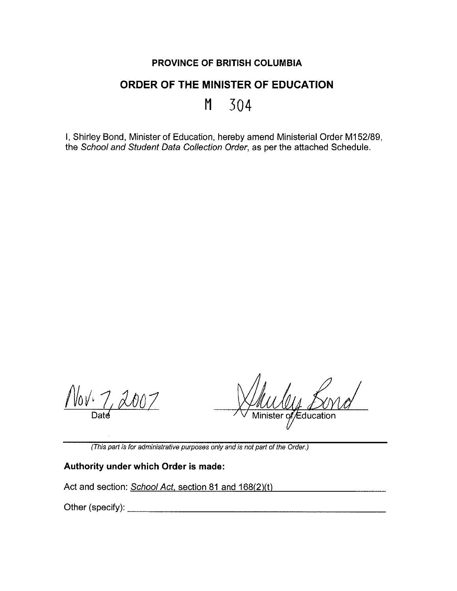## **PROVINCE OF BRITISH COLUMBIA**

## **ORDER OF THE MINISTER OF EDUCATION**

**M 304** 

I, Shirley Bond, Minister of Education, hereby amend Ministerial Order M152/89, the School and Student Data Collection Order, as per the attached Schedule.

W0VL  $2007$ 

Minister of Education

(This part is for administrative purposes only and is not part of the Order.)

## **Authority under which Order is made:**

Act and section: School Act, section 81 and 168(2)(t)

Other (specify): \_\_\_\_\_\_\_\_\_\_\_\_\_\_\_\_\_\_\_\_\_ \_